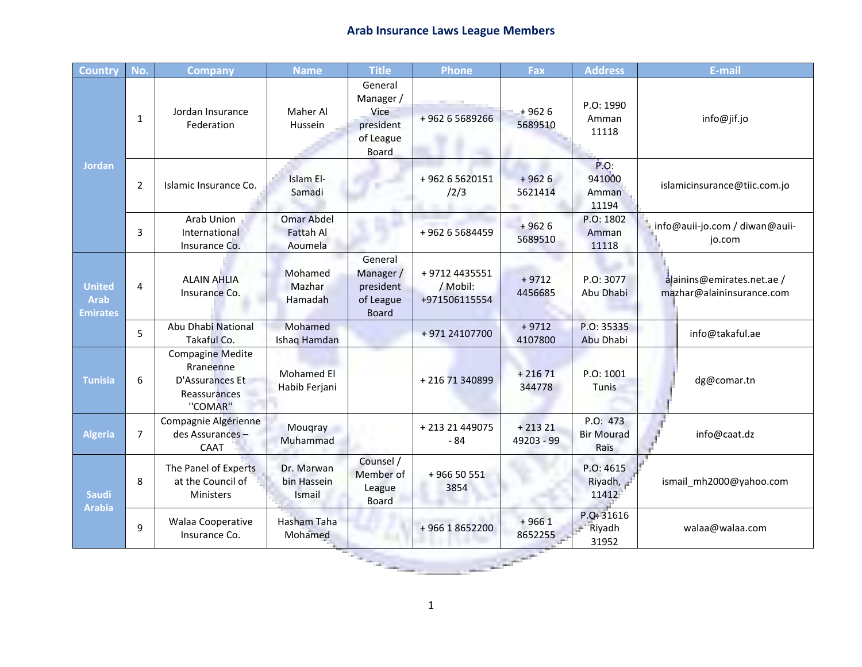## **Arab Insurance Laws League Members**

| <b>Country</b>                           | No.            | <b>Company</b>                                                                     | <b>Name</b>                                      | <b>Title</b>                                                                  | <b>Phone</b>                               | Fax                    | <b>Address</b>                        | E-mail                                                  |  |  |
|------------------------------------------|----------------|------------------------------------------------------------------------------------|--------------------------------------------------|-------------------------------------------------------------------------------|--------------------------------------------|------------------------|---------------------------------------|---------------------------------------------------------|--|--|
| <b>Jordan</b>                            | 1              | Jordan Insurance<br>Federation                                                     | Maher Al<br>Hussein                              | General<br>Manager /<br><b>Vice</b><br>president<br>of League<br><b>Board</b> | +96265689266                               | $+9626$<br>5689510     | P.O: 1990<br>Amman<br>11118           | info@jif.jo                                             |  |  |
|                                          | $\overline{2}$ | Islamic Insurance Co.                                                              | Islam El-<br>Samadi                              |                                                                               | +96265620151<br>/2/3                       | $+9626$<br>5621414     | $P.O$ :<br>941000<br>Amman<br>11194   | islamicinsurance@tiic.com.jo                            |  |  |
|                                          | 3              | Arab Union<br>International<br>Insurance Co.                                       | <b>Omar Abdel</b><br><b>Fattah Al</b><br>Aoumela |                                                                               | +962 6 5684459                             | $+9626$<br>5689510     | P.O: 1802<br>Amman<br>11118           | info@auii-jo.com / diwan@auii-<br>jo.com                |  |  |
| <b>United</b><br><b>Arab</b><br>Emirates | 4              | <b>ALAIN AHLIA</b><br>Insurance Co.                                                | Mohamed<br>Mazhar<br>Hamadah                     | General<br>Manager/<br>president<br>of League<br><b>Board</b>                 | +9712 4435551<br>/ Mobil:<br>+971506115554 | $+9712$<br>4456685     | P.O: 3077<br>Abu Dhabi                | alainins@emirates.net.ae /<br>mazhar@alaininsurance.com |  |  |
|                                          | 5              | Abu Dhabi National<br>Takaful Co.                                                  | Mohamed<br>Ishaq Hamdan                          |                                                                               | +971 24107700                              | $+9712$<br>4107800     | P.O: 35335<br>Abu Dhabi               | info@takaful.ae                                         |  |  |
| <b>Tunisia</b>                           | 6              | <b>Compagine Medite</b><br>Rraneenne<br>D'Assurances Et<br>Reassurances<br>"COMAR" | Mohamed El<br>Habib Ferjani                      |                                                                               | +21671340899                               | $+21671$<br>344778     | P.O: 1001<br>Tunis                    | dg@comar.tn                                             |  |  |
| <b>Algeria</b>                           | $\overline{7}$ | Compagnie Algérienne<br>des Assurances-<br>CAAT                                    | Mougray<br>Muhammad                              |                                                                               | + 213 21 449075<br>- 84                    | $+21321$<br>49203 - 99 | P.O: 473<br><b>Bir Mourad</b><br>Raïs | info@caat.dz                                            |  |  |
| <b>Saudi</b><br><b>Arabia</b>            | 8              | The Panel of Experts<br>at the Council of<br>Ministers                             | Dr. Marwan<br>bin Hassein<br>Ismail              | Counsel /<br>Member of<br>League<br><b>Board</b>                              | +96650551<br>3854                          |                        | P.O: 4615<br>Riyadh,<br>11412         | ismail mh2000@yahoo.com                                 |  |  |
|                                          | 9              | Walaa Cooperative<br>Insurance Co.                                                 | Hasham Taha<br>Mohamed                           |                                                                               | +96618652200                               | $+9661$<br>8652255     | P.O: 31616<br>Riyadh<br>31952         | walaa@walaa.com                                         |  |  |
|                                          |                |                                                                                    |                                                  |                                                                               |                                            |                        |                                       |                                                         |  |  |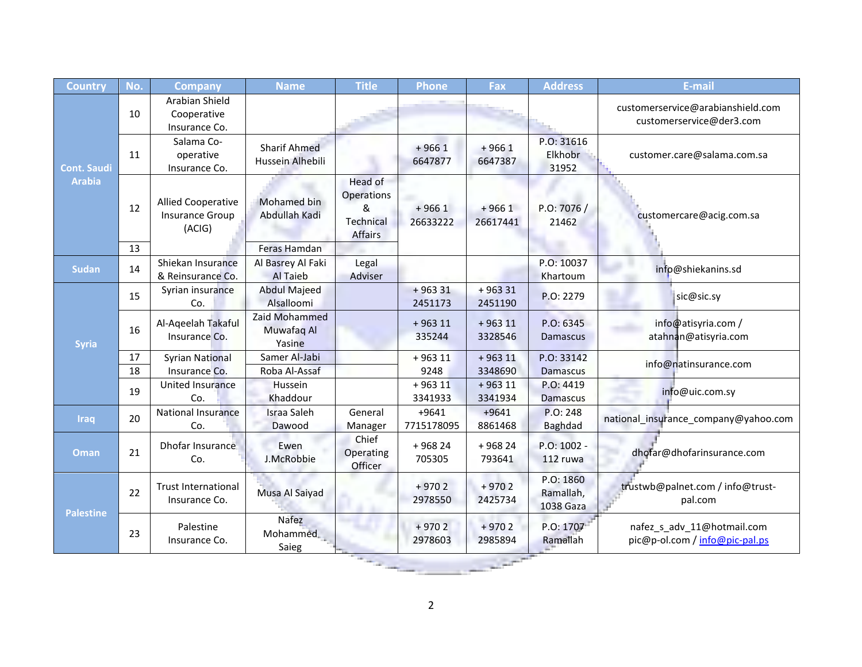| Country                             | No. | <b>Company</b>                                  | <b>Name</b>                             | <b>Title</b>                                              | <b>Phone</b>          | Fax                 | <b>Address</b>                      | E-mail                                                        |
|-------------------------------------|-----|-------------------------------------------------|-----------------------------------------|-----------------------------------------------------------|-----------------------|---------------------|-------------------------------------|---------------------------------------------------------------|
| <b>Cont. Saudi</b><br><b>Arabia</b> | 10  | Arabian Shield<br>Cooperative<br>Insurance Co.  |                                         |                                                           |                       |                     |                                     | customerservice@arabianshield.com<br>customerservice@der3.com |
|                                     | 11  | Salama Co-<br>operative<br>Insurance Co.        | <b>Sharif Ahmed</b><br>Hussein Alhebili |                                                           | $+9661$<br>6647877    | $+9661$<br>6647387  | P.O: 31616<br>Elkhobr<br>31952      | customer.care@salama.com.sa                                   |
|                                     | 12  | Allied Cooperative<br>Insurance Group<br>(ACIG) | Mohamed bin<br>Abdullah Kadi            | Head of<br>Operations<br>&<br>Technical<br><b>Affairs</b> | $+9661$<br>26633222   | $+9661$<br>26617441 | P.O: 7076/<br>21462                 | customercare@acig.com.sa                                      |
|                                     | 13  |                                                 | <b>Feras Hamdan</b>                     |                                                           |                       |                     |                                     |                                                               |
| <b>Sudan</b>                        | 14  | Shiekan Insurance<br>& Reinsurance Co.          | Al Basrey Al Faki<br>Al Taieb           | Legal<br>Adviser                                          |                       |                     | P.O: 10037<br>Khartoum              | info@shiekanins.sd                                            |
| Syria                               | 15  | Syrian insurance<br>Co.                         | <b>Abdul Majeed</b><br>Alsalloomi       |                                                           | $+96331$<br>2451173   | $+96331$<br>2451190 | P.O: 2279                           | sic@sic.sy                                                    |
|                                     | 16  | Al-Aqeelah Takaful<br>Insurance Co.             | Zaid Mohammed<br>Muwafaq Al<br>Yasine   |                                                           | $+96311$<br>335244    | $+96311$<br>3328546 | P.O: 6345<br>Damascus               | info@atisyria.com /<br>atahnan@atisyria.com                   |
|                                     | 17  | <b>Syrian National</b>                          | Samer Al-Jabi                           |                                                           | $+96311$              | $+96311$            | P.O: 33142                          | info@natinsurance.com                                         |
|                                     | 18  | Insurance Co.                                   | Roba Al-Assaf                           |                                                           | 9248                  | 3348690             | <b>Damascus</b>                     |                                                               |
|                                     | 19  | United Insurance<br>Co.                         | Hussein<br>Khaddour                     |                                                           | $+96311$<br>3341933   | $+96311$<br>3341934 | P.O: 4419<br><b>Damascus</b>        | info@uic.com.sy                                               |
| <b>Iraq</b>                         | 20  | <b>National Insurance</b><br>Co.                | <b>Israa Saleh</b><br>Dawood            | General<br>Manager                                        | $+9641$<br>7715178095 | $+9641$<br>8861468  | P.O: 248<br><b>Baghdad</b>          | national insurance company@yahoo.com                          |
| Oman                                | 21  | Dhofar Insurance<br>Co.                         | Ewen<br>J.McRobbie                      | Chief<br>Operating<br>Officer                             | $+96824$<br>705305    | $+96824$<br>793641  | P.O: 1002 -<br>112 ruwa             | dhofar@dhofarinsurance.com                                    |
| <b>Palestine</b>                    | 22  | <b>Trust International</b><br>Insurance Co.     | Musa Al Saiyad                          |                                                           | $+9702$<br>2978550    | $+9702$<br>2425734  | P.O: 1860<br>Ramallah,<br>1038 Gaza | trustwb@palnet.com / info@trust-<br>pal.com                   |
|                                     | 23  | Palestine<br>Insurance Co.                      | <b>Nafez</b><br>Mohammed<br>Saieg       |                                                           | $+9702$<br>2978603    | $+9702$<br>2985894  | P.O: 1707<br>Ramallah               | nafez_s_adv_11@hotmail.com<br>pic@p-ol.com / info@pic-pal.ps  |
|                                     |     |                                                 |                                         |                                                           |                       |                     |                                     |                                                               |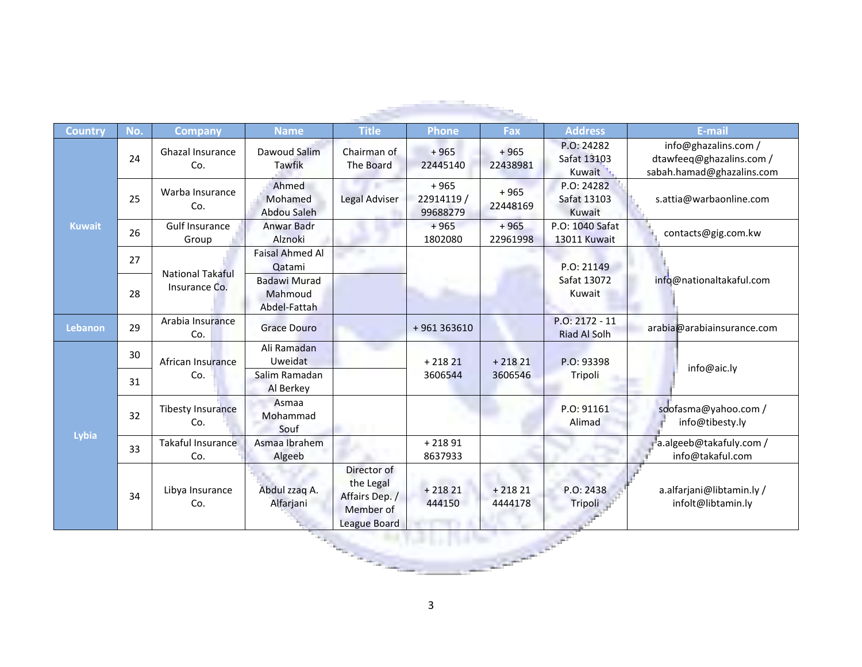| Country        | No. | <b>Company</b>                  | <b>Name</b>                                    | <b>Title</b>                                                            | <b>Phone</b>                     | Fax                 | <b>Address</b>                          | E-mail                                                                        |
|----------------|-----|---------------------------------|------------------------------------------------|-------------------------------------------------------------------------|----------------------------------|---------------------|-----------------------------------------|-------------------------------------------------------------------------------|
|                | 24  | Ghazal Insurance<br>Co.         | Dawoud Salim<br>Tawfik                         | Chairman of<br>The Board                                                | $+965$<br>22445140               | $+965$<br>22438981  | P.O: 24282<br>Safat 13103<br>Kuwait     | info@ghazalins.com /<br>dtawfeeq@ghazalins.com /<br>sabah.hamad@ghazalins.com |
|                | 25  | Warba Insurance<br>Co.          | Ahmed<br>Mohamed<br>Abdou Saleh                | Legal Adviser                                                           | $+965$<br>22914119 /<br>99688279 | $+965$<br>22448169  | P.O: 24282<br>Safat 13103<br>Kuwait     | s.attia@warbaonline.com                                                       |
| <b>Kuwait</b>  | 26  | <b>Gulf Insurance</b><br>Group  | Anwar Badr<br>Alznoki                          |                                                                         | $+965$<br>1802080                | $+965$<br>22961998  | P.O: 1040 Safat<br>13011 Kuwait         | contacts@gig.com.kw                                                           |
|                | 27  | <b>National Takaful</b>         | <b>Faisal Ahmed Al</b><br>Qatami               |                                                                         |                                  |                     | P.O: 21149                              | info@nationaltakaful.com                                                      |
|                | 28  | Insurance Co.                   | <b>Badawi Murad</b><br>Mahmoud<br>Abdel-Fattah |                                                                         |                                  |                     | Safat 13072<br>Kuwait                   |                                                                               |
| <b>Lebanon</b> | 29  | Arabia Insurance<br>Co.         | <b>Grace Douro</b>                             |                                                                         | +961363610                       |                     | $P.O: 2172 - 11$<br><b>Riad Al Solh</b> | arabia@arabiainsurance.com                                                    |
|                | 30  | African Insurance               | Ali Ramadan<br>Uweidat                         |                                                                         | $+21821$<br>3606544              | $+21821$<br>3606546 | P.O: 93398<br>Tripoli                   | info@aic.ly                                                                   |
|                | 31  | Co.                             | Salim Ramadan<br>Al Berkey                     |                                                                         |                                  |                     |                                         |                                                                               |
|                | 32  | <b>Tibesty Insurance</b><br>Co. | Asmaa<br>Mohammad<br>Souf                      |                                                                         |                                  |                     | P.O: 91161<br>Alimad                    | soofasma@yahoo.com /<br>info@tibesty.ly                                       |
| Lybia          | 33  | Takaful Insurance<br>Co.        | Asmaa Ibrahem<br>Algeeb                        |                                                                         | $+21891$<br>8637933              |                     |                                         | a.algeeb@takafuly.com /<br>info@takaful.com                                   |
|                | 34  | Libya Insurance<br>Co.          | Abdul zzaq A.<br>Alfarjani                     | Director of<br>the Legal<br>Affairs Dep. /<br>Member of<br>League Board | $+21821$<br>444150               | $+21821$<br>4444178 | P.O: 2438<br>Tripoli                    | a.alfarjani@libtamin.ly/<br>infolt@libtamin.ly                                |
|                |     |                                 |                                                |                                                                         |                                  |                     |                                         |                                                                               |